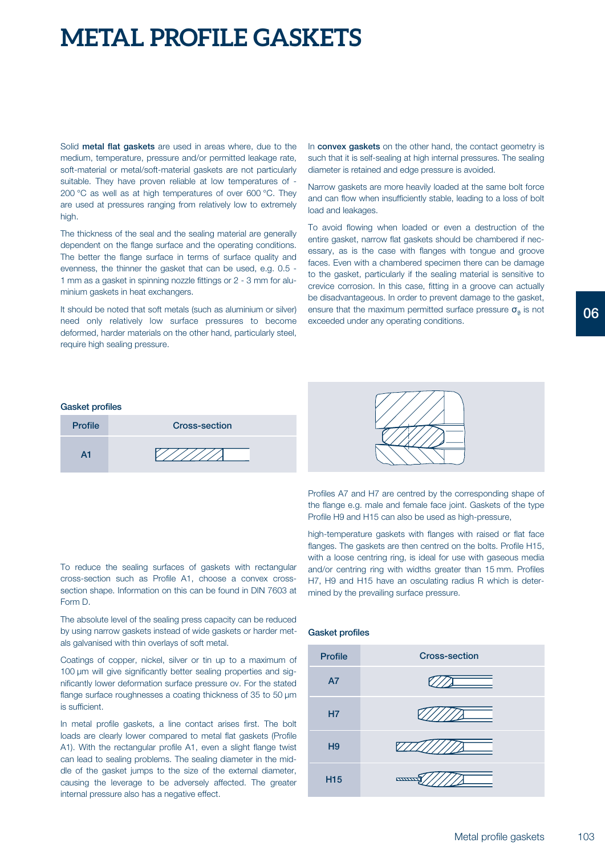# **METAL PROFILE GASKETS**

Solid **metal flat gaskets** are used in areas where, due to the medium, temperature, pressure and/or permitted leakage rate, soft-material or metal/soft-material gaskets are not particularly suitable. They have proven reliable at low temperatures of - 200 °C as well as at high temperatures of over 600 °C. They are used at pressures ranging from relatively low to extremely high.

The thickness of the seal and the sealing material are generally dependent on the flange surface and the operating conditions. The better the flange surface in terms of surface quality and evenness, the thinner the gasket that can be used, e.g. 0.5 - 1 mm as a gasket in spinning nozzle fittings or 2 - 3 mm for aluminium gaskets in heat exchangers.

It should be noted that soft metals (such as aluminium or silver) need only relatively low surface pressures to become deformed, harder materials on the other hand, particularly steel, require high sealing pressure.

In **convex gaskets** on the other hand, the contact geometry is such that it is self-sealing at high internal pressures. The sealing diameter is retained and edge pressure is avoided.

Narrow gaskets are more heavily loaded at the same bolt force and can flow when insufficiently stable, leading to a loss of bolt load and leakages.

To avoid flowing when loaded or even a destruction of the entire gasket, narrow flat gaskets should be chambered if necessary, as is the case with flanges with tongue and groove faces. Even with a chambered specimen there can be damage to the gasket, particularly if the sealing material is sensitive to crevice corrosion. In this case, fitting in a groove can actually be disadvantageous. In order to prevent damage to the gasket, ensure that the maximum permitted surface pressure  $\sigma_{\alpha}$  is not exceeded under any operating conditions.

#### **Gasket profiles**





Profiles A7 and H7 are centred by the corresponding shape of the flange e.g. male and female face joint. Gaskets of the type Profile H9 and H15 can also be used as high-pressure,

high-temperature gaskets with flanges with raised or flat face flanges. The gaskets are then centred on the bolts. Profile H15, with a loose centring ring, is ideal for use with gaseous media and/or centring ring with widths greater than 15 mm. Profiles H7, H9 and H15 have an osculating radius R which is determined by the prevailing surface pressure.

To reduce the sealing surfaces of gaskets with rectangular cross-section such as Profile A1, choose a convex crosssection shape. Information on this can be found in DIN 7603 at Form D.

The absolute level of the sealing press capacity can be reduced by using narrow gaskets instead of wide gaskets or harder metals galvanised with thin overlays of soft metal.

Coatings of copper, nickel, silver or tin up to a maximum of 100 µm will give significantly better sealing properties and significantly lower deformation surface pressure ov. For the stated flange surface roughnesses a coating thickness of 35 to 50  $\mu$ m is sufficient.

In metal profile gaskets, a line contact arises first. The bolt loads are clearly lower compared to metal flat gaskets (Profile A1). With the rectangular profile A1, even a slight flange twist can lead to sealing problems. The sealing diameter in the middle of the gasket jumps to the size of the external diameter, causing the leverage to be adversely affected. The greater internal pressure also has a negative effect.

### **Gasket profiles**